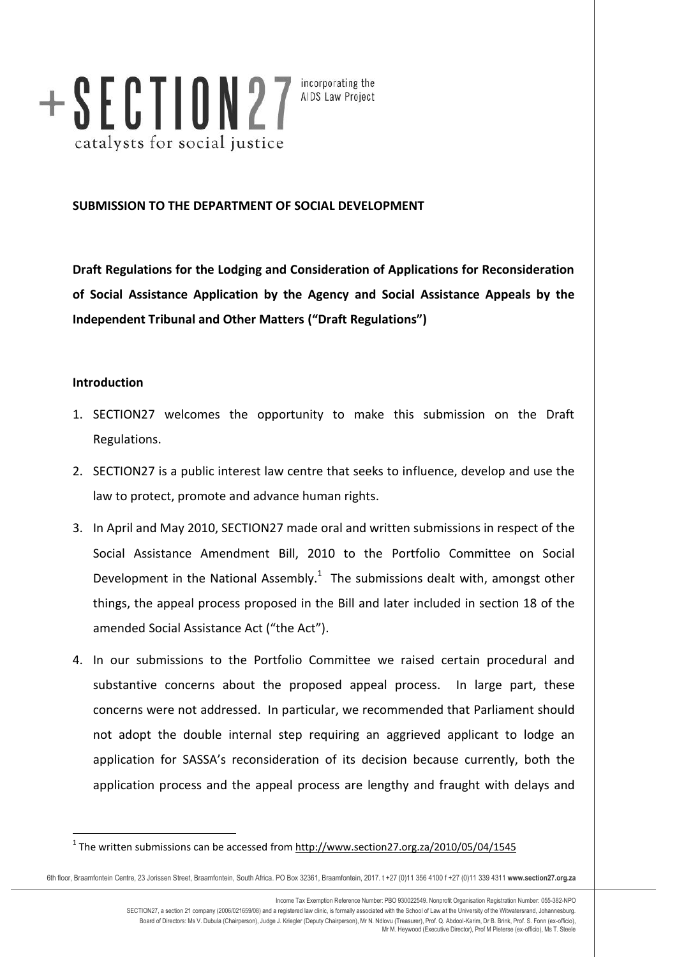

incorporating the AIDS Law Project

# **SUBMISSION TO THE DEPARTMENT OF SOCIAL DEVELOPMENT**

**Draft Regulations for the Lodging and Consideration of Applications for Reconsideration of Social Assistance Application by the Agency and Social Assistance Appeals by the Independent Tribunal and Other Matters ("Draft Regulations")**

## **Introduction**

 $\overline{a}$ 

- 1. SECTION27 welcomes the opportunity to make this submission on the Draft Regulations.
- 2. SECTION27 is a public interest law centre that seeks to influence, develop and use the law to protect, promote and advance human rights.
- 3. In April and May 2010, SECTION27 made oral and written submissions in respect of the Social Assistance Amendment Bill, 2010 to the Portfolio Committee on Social Development in the National Assembly. $1$  The submissions dealt with, amongst other things, the appeal process proposed in the Bill and later included in section 18 of the amended Social Assistance Act ("the Act").
- 4. In our submissions to the Portfolio Committee we raised certain procedural and substantive concerns about the proposed appeal process. In large part, these concerns were not addressed. In particular, we recommended that Parliament should not adopt the double internal step requiring an aggrieved applicant to lodge an application for SASSA's reconsideration of its decision because currently, both the application process and the appeal process are lengthy and fraught with delays and

Income Tax Exemption Reference Number: PBO 930022549. Nonprofit Organisation Registration Number: 055-382-NPO SECTION27, a section 21 company (2006/021659/08) and a registered law clinic, is formally associated with the School of Law at the University of the Witwatersrand, Johannesburg. Board of Directors: Ms V. Dubula (Chairperson), Judge J. Kriegler (Deputy Chairperson), Mr N. Ndlovu (Treasurer), Prof. Q. Abdool-Karim, Dr B. Brink, Prof. S. Fonn (ex-officio),<br>Mr M. Heywood (Executive Director), Prof M P

<sup>&</sup>lt;sup>1</sup> The written submissions can be accessed from http://www.section27.org.za/2010/05/04/1545

<sup>6</sup>th floor, Braamfontein Centre, 23 Jorissen Street, Braamfontein, South Africa. PO Box 32361, Braamfontein, 2017. t +27 (0)11 356 4100 f +27 (0)11 339 4311 **www.section27.org.za**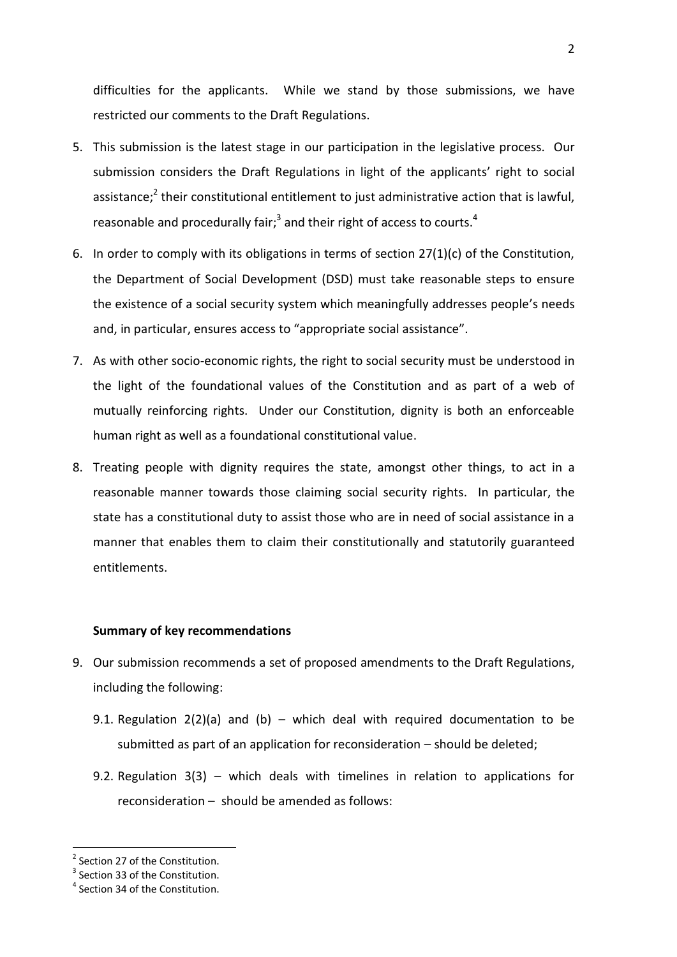difficulties for the applicants. While we stand by those submissions, we have restricted our comments to the Draft Regulations.

- 5. This submission is the latest stage in our participation in the legislative process. Our submission considers the Draft Regulations in light of the applicants' right to social assistance;<sup>2</sup> their constitutional entitlement to just administrative action that is lawful, reasonable and procedurally fair;<sup>3</sup> and their right of access to courts.<sup>4</sup>
- 6. In order to comply with its obligations in terms of section 27(1)(c) of the Constitution, the Department of Social Development (DSD) must take reasonable steps to ensure the existence of a social security system which meaningfully addresses people's needs and, in particular, ensures access to "appropriate social assistance".
- 7. As with other socio-economic rights, the right to social security must be understood in the light of the foundational values of the Constitution and as part of a web of mutually reinforcing rights. Under our Constitution, dignity is both an enforceable human right as well as a foundational constitutional value.
- 8. Treating people with dignity requires the state, amongst other things, to act in a reasonable manner towards those claiming social security rights. In particular, the state has a constitutional duty to assist those who are in need of social assistance in a manner that enables them to claim their constitutionally and statutorily guaranteed entitlements.

## **Summary of key recommendations**

- 9. Our submission recommends a set of proposed amendments to the Draft Regulations, including the following:
	- 9.1. Regulation  $2(2)(a)$  and  $(b)$  which deal with required documentation to be submitted as part of an application for reconsideration – should be deleted;
	- 9.2. Regulation 3(3) which deals with timelines in relation to applications for reconsideration – should be amended as follows:

 $\overline{a}$ 

<sup>&</sup>lt;sup>2</sup> Section 27 of the Constitution.

 $3$  Section 33 of the Constitution.

<sup>&</sup>lt;sup>4</sup> Section 34 of the Constitution.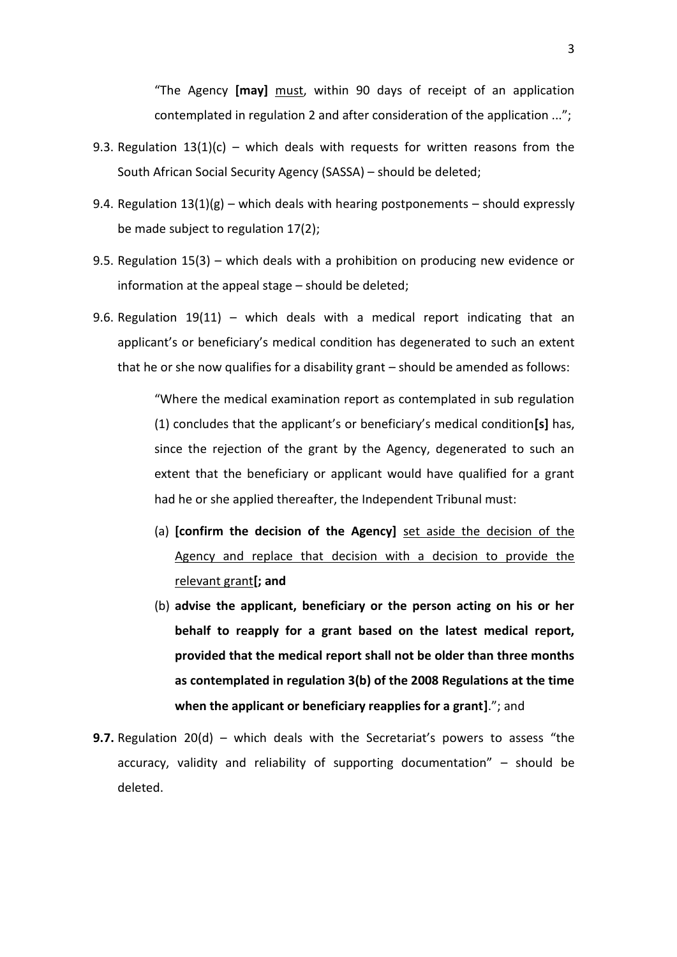"The Agency **[may]** must, within 90 days of receipt of an application contemplated in regulation 2 and after consideration of the application ...";

- 9.3. Regulation  $13(1)(c)$  which deals with requests for written reasons from the South African Social Security Agency (SASSA) – should be deleted;
- 9.4. Regulation  $13(1)(g)$  which deals with hearing postponements should expressly be made subject to regulation 17(2);
- 9.5. Regulation 15(3) which deals with a prohibition on producing new evidence or information at the appeal stage – should be deleted;
- 9.6. Regulation  $19(11)$  which deals with a medical report indicating that an applicant's or beneficiary's medical condition has degenerated to such an extent that he or she now qualifies for a disability grant – should be amended as follows:

"Where the medical examination report as contemplated in sub regulation (1) concludes that the applicant's or beneficiary's medical condition**[s]** has, since the rejection of the grant by the Agency, degenerated to such an extent that the beneficiary or applicant would have qualified for a grant had he or she applied thereafter, the Independent Tribunal must:

- (a) **[confirm the decision of the Agency]** set aside the decision of the Agency and replace that decision with a decision to provide the relevant grant**[; and**
- (b) **advise the applicant, beneficiary or the person acting on his or her behalf to reapply for a grant based on the latest medical report, provided that the medical report shall not be older than three months as contemplated in regulation 3(b) of the 2008 Regulations at the time when the applicant or beneficiary reapplies for a grant]**."; and
- **9.7.** Regulation 20(d) which deals with the Secretariat's powers to assess "the accuracy, validity and reliability of supporting documentation" – should be deleted.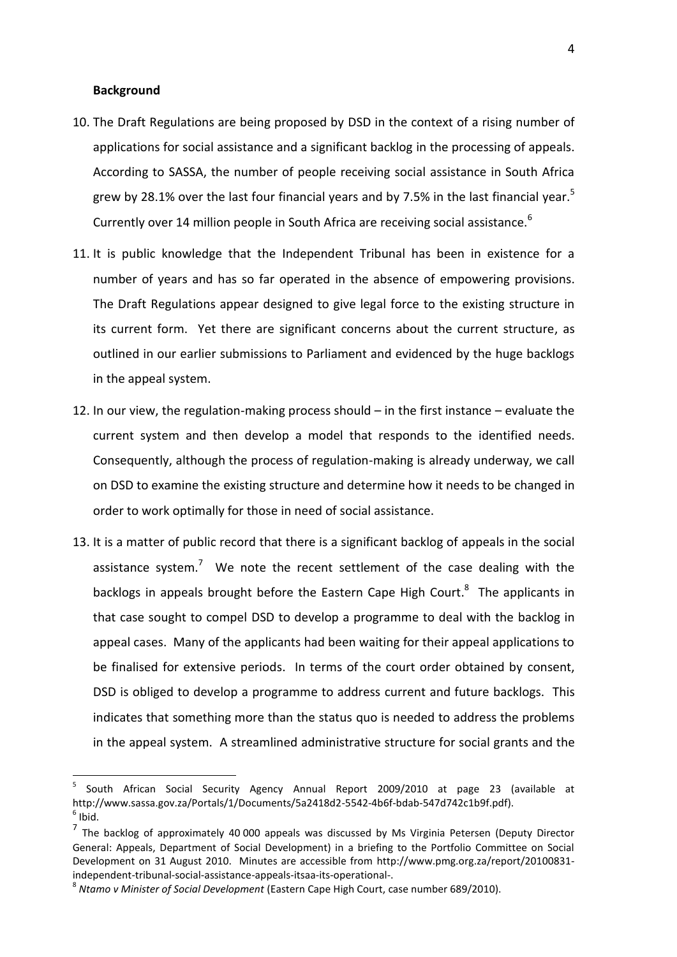## **Background**

- 10. The Draft Regulations are being proposed by DSD in the context of a rising number of applications for social assistance and a significant backlog in the processing of appeals. According to SASSA, the number of people receiving social assistance in South Africa grew by 28.1% over the last four financial years and by 7.5% in the last financial year.<sup>5</sup> Currently over 14 million people in South Africa are receiving social assistance.<sup>6</sup>
- 11. It is public knowledge that the Independent Tribunal has been in existence for a number of years and has so far operated in the absence of empowering provisions. The Draft Regulations appear designed to give legal force to the existing structure in its current form. Yet there are significant concerns about the current structure, as outlined in our earlier submissions to Parliament and evidenced by the huge backlogs in the appeal system.
- 12. In our view, the regulation-making process should in the first instance evaluate the current system and then develop a model that responds to the identified needs. Consequently, although the process of regulation-making is already underway, we call on DSD to examine the existing structure and determine how it needs to be changed in order to work optimally for those in need of social assistance.
- 13. It is a matter of public record that there is a significant backlog of appeals in the social assistance system.<sup>7</sup> We note the recent settlement of the case dealing with the backlogs in appeals brought before the Eastern Cape High Court.<sup>8</sup> The applicants in that case sought to compel DSD to develop a programme to deal with the backlog in appeal cases. Many of the applicants had been waiting for their appeal applications to be finalised for extensive periods. In terms of the court order obtained by consent, DSD is obliged to develop a programme to address current and future backlogs. This indicates that something more than the status quo is needed to address the problems in the appeal system. A streamlined administrative structure for social grants and the

<sup>5</sup> South African Social Security Agency Annual Report 2009/2010 at page 23 (available at http://www.sassa.gov.za/Portals/1/Documents/5a2418d2-5542-4b6f-bdab-547d742c1b9f.pdf).  $<sup>6</sup>$  Ibid.</sup>

<sup>&</sup>lt;sup>7</sup> The backlog of approximately 40 000 appeals was discussed by Ms Virginia Petersen (Deputy Director General: Appeals, Department of Social Development) in a briefing to the Portfolio Committee on Social Development on 31 August 2010. Minutes are accessible from http://www.pmg.org.za/report/20100831 independent-tribunal-social-assistance-appeals-itsaa-its-operational-.

<sup>8</sup> *Ntamo v Minister of Social Development* (Eastern Cape High Court, case number 689/2010).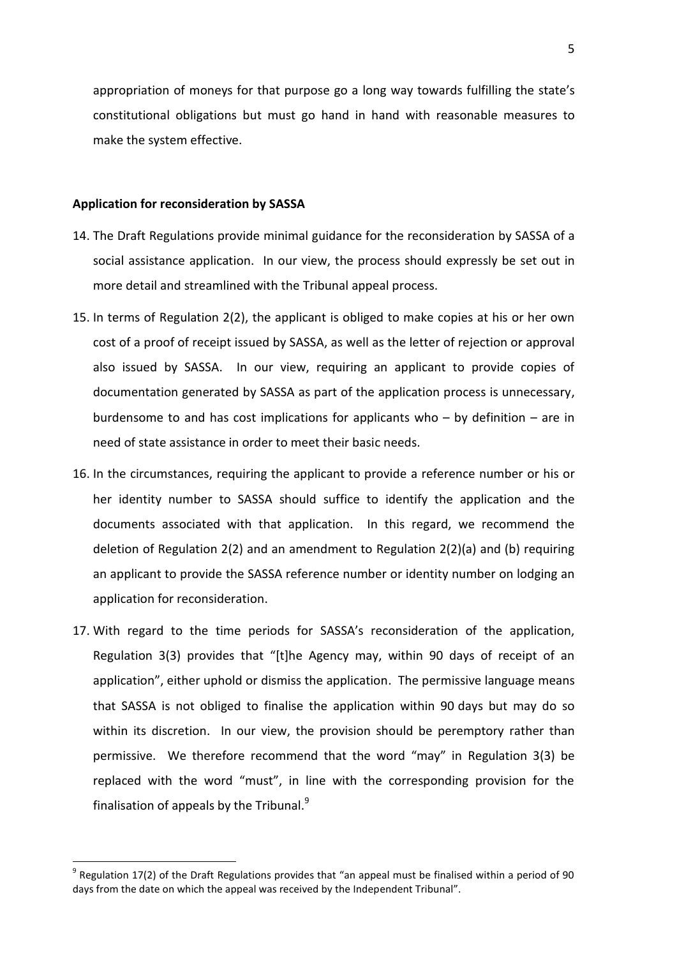appropriation of moneys for that purpose go a long way towards fulfilling the state's constitutional obligations but must go hand in hand with reasonable measures to make the system effective.

## **Application for reconsideration by SASSA**

 $\overline{a}$ 

- 14. The Draft Regulations provide minimal guidance for the reconsideration by SASSA of a social assistance application. In our view, the process should expressly be set out in more detail and streamlined with the Tribunal appeal process.
- <span id="page-4-0"></span>15. In terms of Regulation 2(2), the applicant is obliged to make copies at his or her own cost of a proof of receipt issued by SASSA, as well as the letter of rejection or approval also issued by SASSA. In our view, requiring an applicant to provide copies of documentation generated by SASSA as part of the application process is unnecessary, burdensome to and has cost implications for applicants who  $-$  by definition  $-$  are in need of state assistance in order to meet their basic needs.
- <span id="page-4-1"></span>16. In the circumstances, requiring the applicant to provide a reference number or his or her identity number to SASSA should suffice to identify the application and the documents associated with that application. In this regard, we recommend the deletion of Regulation 2(2) and an amendment to Regulation 2(2)(a) and (b) requiring an applicant to provide the SASSA reference number or identity number on lodging an application for reconsideration.
- 17. With regard to the time periods for SASSA's reconsideration of the application, Regulation 3(3) provides that "[t]he Agency may, within 90 days of receipt of an application", either uphold or dismiss the application. The permissive language means that SASSA is not obliged to finalise the application within 90 days but may do so within its discretion. In our view, the provision should be peremptory rather than permissive. We therefore recommend that the word "may" in Regulation 3(3) be replaced with the word "must", in line with the corresponding provision for the finalisation of appeals by the Tribunal. $9$

 $^9$  Regulation 17(2) of the Draft Regulations provides that "an appeal must be finalised within a period of 90 days from the date on which the appeal was received by the Independent Tribunal".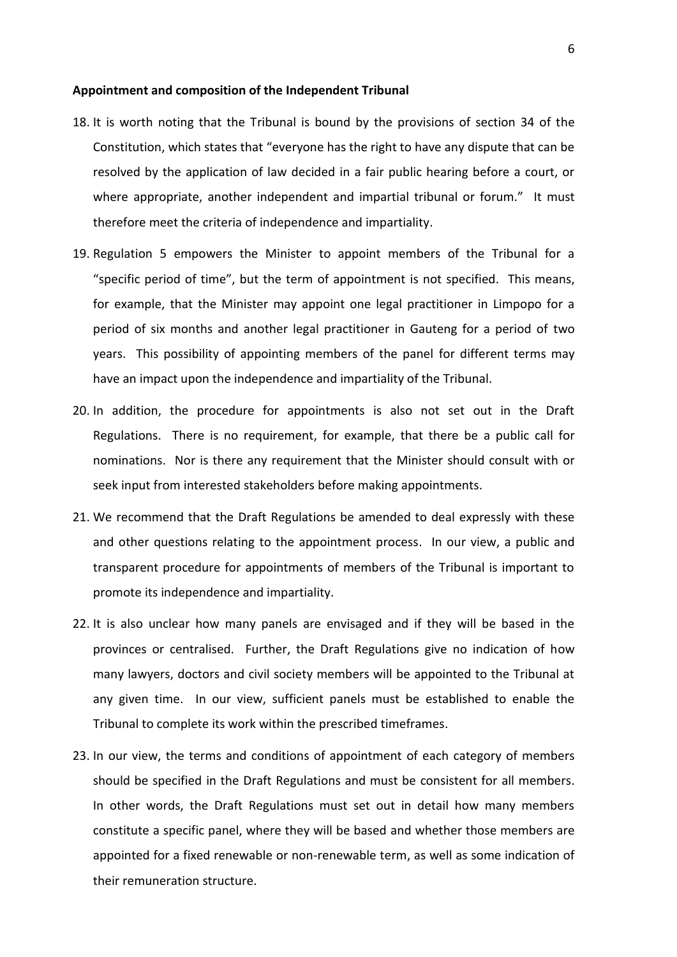## **Appointment and composition of the Independent Tribunal**

- 18. It is worth noting that the Tribunal is bound by the provisions of section 34 of the Constitution, which states that "everyone has the right to have any dispute that can be resolved by the application of law decided in a fair public hearing before a court, or where appropriate, another independent and impartial tribunal or forum." It must therefore meet the criteria of independence and impartiality.
- 19. Regulation 5 empowers the Minister to appoint members of the Tribunal for a "specific period of time", but the term of appointment is not specified. This means, for example, that the Minister may appoint one legal practitioner in Limpopo for a period of six months and another legal practitioner in Gauteng for a period of two years. This possibility of appointing members of the panel for different terms may have an impact upon the independence and impartiality of the Tribunal.
- 20. In addition, the procedure for appointments is also not set out in the Draft Regulations. There is no requirement, for example, that there be a public call for nominations. Nor is there any requirement that the Minister should consult with or seek input from interested stakeholders before making appointments.
- 21. We recommend that the Draft Regulations be amended to deal expressly with these and other questions relating to the appointment process. In our view, a public and transparent procedure for appointments of members of the Tribunal is important to promote its independence and impartiality.
- 22. It is also unclear how many panels are envisaged and if they will be based in the provinces or centralised. Further, the Draft Regulations give no indication of how many lawyers, doctors and civil society members will be appointed to the Tribunal at any given time. In our view, sufficient panels must be established to enable the Tribunal to complete its work within the prescribed timeframes.
- 23. In our view, the terms and conditions of appointment of each category of members should be specified in the Draft Regulations and must be consistent for all members. In other words, the Draft Regulations must set out in detail how many members constitute a specific panel, where they will be based and whether those members are appointed for a fixed renewable or non-renewable term, as well as some indication of their remuneration structure.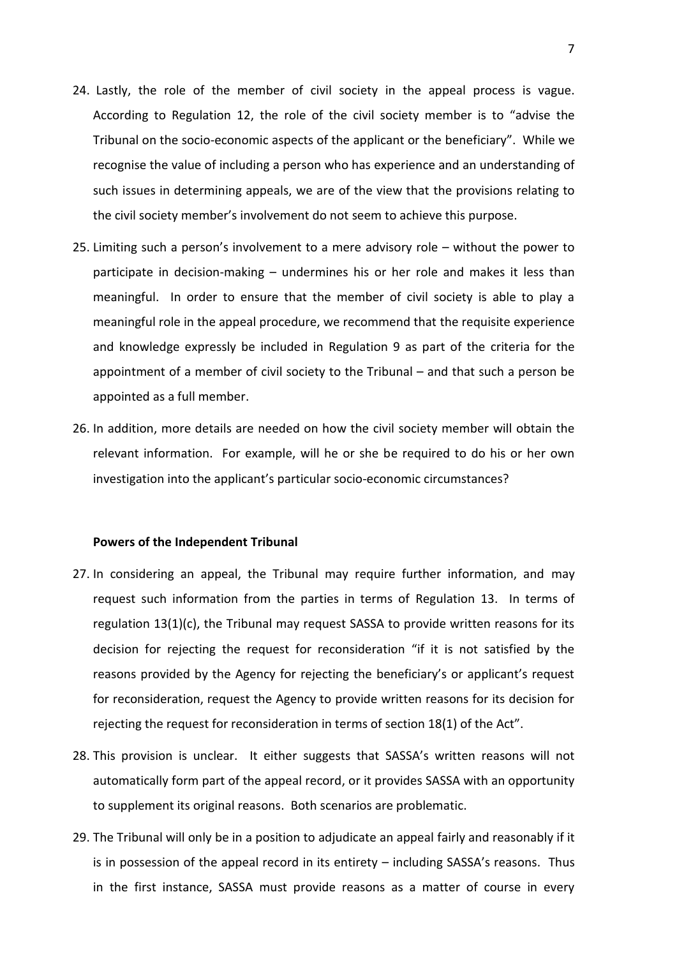- 24. Lastly, the role of the member of civil society in the appeal process is vague. According to Regulation 12, the role of the civil society member is to "advise the Tribunal on the socio-economic aspects of the applicant or the beneficiary". While we recognise the value of including a person who has experience and an understanding of such issues in determining appeals, we are of the view that the provisions relating to the civil society member's involvement do not seem to achieve this purpose.
- 25. Limiting such a person's involvement to a mere advisory role without the power to participate in decision-making – undermines his or her role and makes it less than meaningful. In order to ensure that the member of civil society is able to play a meaningful role in the appeal procedure, we recommend that the requisite experience and knowledge expressly be included in Regulation 9 as part of the criteria for the appointment of a member of civil society to the Tribunal – and that such a person be appointed as a full member.
- 26. In addition, more details are needed on how the civil society member will obtain the relevant information. For example, will he or she be required to do his or her own investigation into the applicant's particular socio-economic circumstances?

## **Powers of the Independent Tribunal**

- 27. In considering an appeal, the Tribunal may require further information, and may request such information from the parties in terms of Regulation 13. In terms of regulation 13(1)(c), the Tribunal may request SASSA to provide written reasons for its decision for rejecting the request for reconsideration "if it is not satisfied by the reasons provided by the Agency for rejecting the beneficiary's or applicant's request for reconsideration, request the Agency to provide written reasons for its decision for rejecting the request for reconsideration in terms of section 18(1) of the Act".
- 28. This provision is unclear. It either suggests that SASSA's written reasons will not automatically form part of the appeal record, or it provides SASSA with an opportunity to supplement its original reasons. Both scenarios are problematic.
- 29. The Tribunal will only be in a position to adjudicate an appeal fairly and reasonably if it is in possession of the appeal record in its entirety – including SASSA's reasons. Thus in the first instance, SASSA must provide reasons as a matter of course in every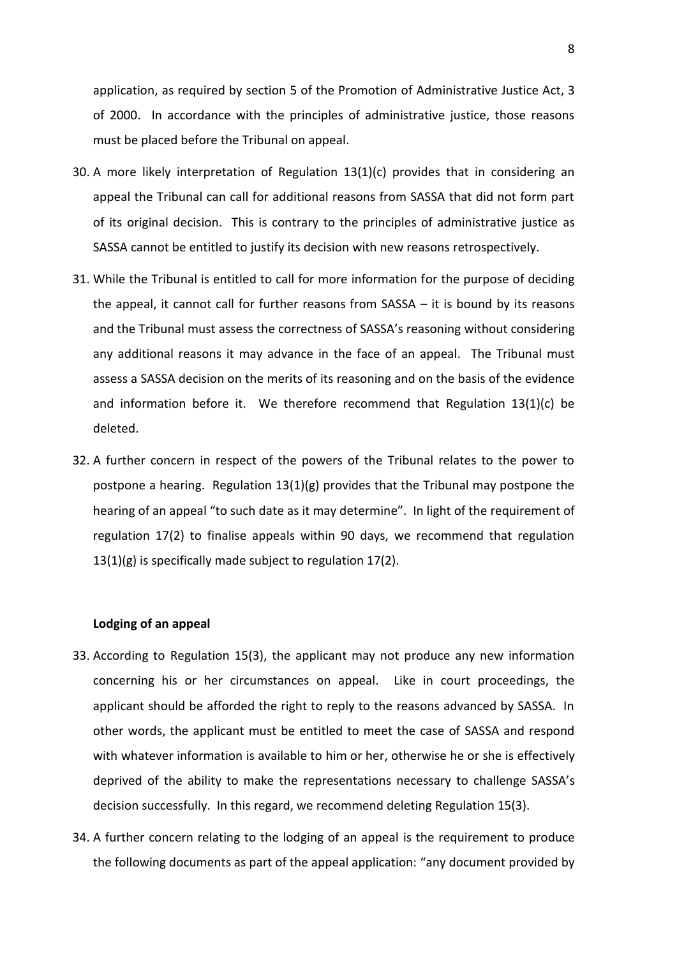application, as required by section 5 of the Promotion of Administrative Justice Act, 3 of 2000. In accordance with the principles of administrative justice, those reasons must be placed before the Tribunal on appeal.

- 30. A more likely interpretation of Regulation 13(1)(c) provides that in considering an appeal the Tribunal can call for additional reasons from SASSA that did not form part of its original decision. This is contrary to the principles of administrative justice as SASSA cannot be entitled to justify its decision with new reasons retrospectively.
- 31. While the Tribunal is entitled to call for more information for the purpose of deciding the appeal, it cannot call for further reasons from SASSA – it is bound by its reasons and the Tribunal must assess the correctness of SASSA's reasoning without considering any additional reasons it may advance in the face of an appeal. The Tribunal must assess a SASSA decision on the merits of its reasoning and on the basis of the evidence and information before it. We therefore recommend that Regulation 13(1)(c) be deleted.
- 32. A further concern in respect of the powers of the Tribunal relates to the power to postpone a hearing. Regulation  $13(1)(g)$  provides that the Tribunal may postpone the hearing of an appeal "to such date as it may determine". In light of the requirement of regulation 17(2) to finalise appeals within 90 days, we recommend that regulation 13(1)(g) is specifically made subject to regulation 17(2).

## **Lodging of an appeal**

- 33. According to Regulation 15(3), the applicant may not produce any new information concerning his or her circumstances on appeal. Like in court proceedings, the applicant should be afforded the right to reply to the reasons advanced by SASSA. In other words, the applicant must be entitled to meet the case of SASSA and respond with whatever information is available to him or her, otherwise he or she is effectively deprived of the ability to make the representations necessary to challenge SASSA's decision successfully. In this regard, we recommend deleting Regulation 15(3).
- 34. A further concern relating to the lodging of an appeal is the requirement to produce the following documents as part of the appeal application: "any document provided by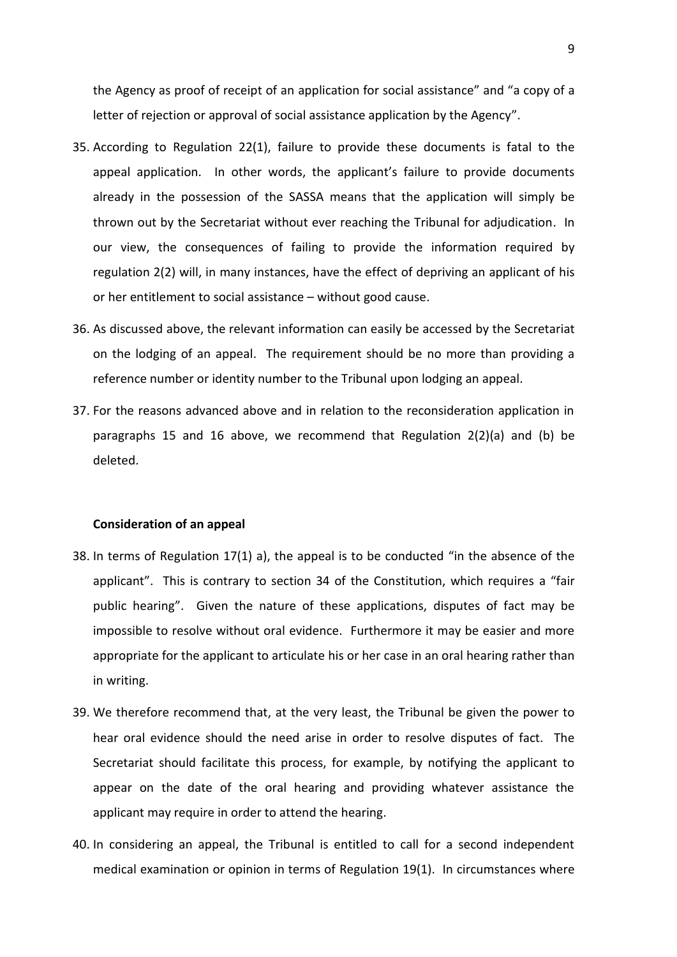the Agency as proof of receipt of an application for social assistance" and "a copy of a letter of rejection or approval of social assistance application by the Agency".

- 35. According to Regulation 22(1), failure to provide these documents is fatal to the appeal application. In other words, the applicant's failure to provide documents already in the possession of the SASSA means that the application will simply be thrown out by the Secretariat without ever reaching the Tribunal for adjudication. In our view, the consequences of failing to provide the information required by regulation 2(2) will, in many instances, have the effect of depriving an applicant of his or her entitlement to social assistance – without good cause.
- 36. As discussed above, the relevant information can easily be accessed by the Secretariat on the lodging of an appeal. The requirement should be no more than providing a reference number or identity number to the Tribunal upon lodging an appeal.
- 37. For the reasons advanced above and in relation to the reconsideration application in paragraphs [15](#page-4-0) and [16](#page-4-1) above, we recommend that Regulation 2(2)(a) and (b) be deleted.

# **Consideration of an appeal**

- 38. In terms of Regulation 17(1) a), the appeal is to be conducted "in the absence of the applicant". This is contrary to section 34 of the Constitution, which requires a "fair public hearing". Given the nature of these applications, disputes of fact may be impossible to resolve without oral evidence. Furthermore it may be easier and more appropriate for the applicant to articulate his or her case in an oral hearing rather than in writing.
- 39. We therefore recommend that, at the very least, the Tribunal be given the power to hear oral evidence should the need arise in order to resolve disputes of fact. The Secretariat should facilitate this process, for example, by notifying the applicant to appear on the date of the oral hearing and providing whatever assistance the applicant may require in order to attend the hearing.
- 40. In considering an appeal, the Tribunal is entitled to call for a second independent medical examination or opinion in terms of Regulation 19(1). In circumstances where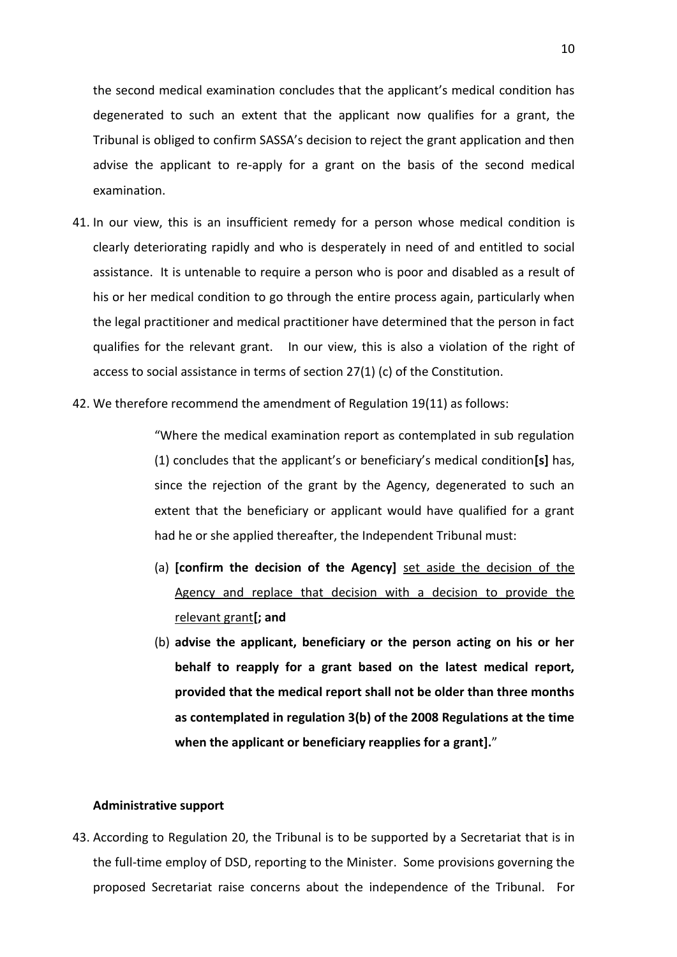the second medical examination concludes that the applicant's medical condition has degenerated to such an extent that the applicant now qualifies for a grant, the Tribunal is obliged to confirm SASSA's decision to reject the grant application and then advise the applicant to re-apply for a grant on the basis of the second medical examination.

- 41. In our view, this is an insufficient remedy for a person whose medical condition is clearly deteriorating rapidly and who is desperately in need of and entitled to social assistance. It is untenable to require a person who is poor and disabled as a result of his or her medical condition to go through the entire process again, particularly when the legal practitioner and medical practitioner have determined that the person in fact qualifies for the relevant grant. In our view, this is also a violation of the right of access to social assistance in terms of section 27(1) (c) of the Constitution.
- 42. We therefore recommend the amendment of Regulation 19(11) as follows:

"Where the medical examination report as contemplated in sub regulation (1) concludes that the applicant's or beneficiary's medical condition**[s]** has, since the rejection of the grant by the Agency, degenerated to such an extent that the beneficiary or applicant would have qualified for a grant had he or she applied thereafter, the Independent Tribunal must:

- (a) **[confirm the decision of the Agency]** set aside the decision of the Agency and replace that decision with a decision to provide the relevant grant**[; and**
- (b) **advise the applicant, beneficiary or the person acting on his or her behalf to reapply for a grant based on the latest medical report, provided that the medical report shall not be older than three months as contemplated in regulation 3(b) of the 2008 Regulations at the time when the applicant or beneficiary reapplies for a grant].**"

## **Administrative support**

43. According to Regulation 20, the Tribunal is to be supported by a Secretariat that is in the full-time employ of DSD, reporting to the Minister. Some provisions governing the proposed Secretariat raise concerns about the independence of the Tribunal. For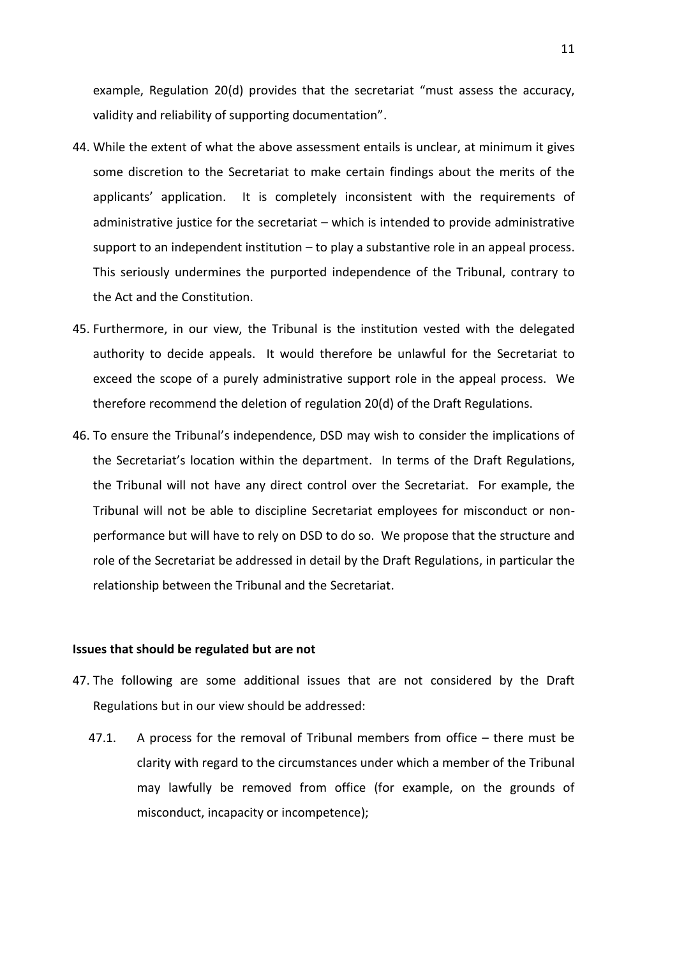example, Regulation 20(d) provides that the secretariat "must assess the accuracy, validity and reliability of supporting documentation".

- 44. While the extent of what the above assessment entails is unclear, at minimum it gives some discretion to the Secretariat to make certain findings about the merits of the applicants' application. It is completely inconsistent with the requirements of administrative justice for the secretariat – which is intended to provide administrative support to an independent institution – to play a substantive role in an appeal process. This seriously undermines the purported independence of the Tribunal, contrary to the Act and the Constitution.
- 45. Furthermore, in our view, the Tribunal is the institution vested with the delegated authority to decide appeals. It would therefore be unlawful for the Secretariat to exceed the scope of a purely administrative support role in the appeal process. We therefore recommend the deletion of regulation 20(d) of the Draft Regulations.
- 46. To ensure the Tribunal's independence, DSD may wish to consider the implications of the Secretariat's location within the department. In terms of the Draft Regulations, the Tribunal will not have any direct control over the Secretariat. For example, the Tribunal will not be able to discipline Secretariat employees for misconduct or nonperformance but will have to rely on DSD to do so. We propose that the structure and role of the Secretariat be addressed in detail by the Draft Regulations, in particular the relationship between the Tribunal and the Secretariat.

#### **Issues that should be regulated but are not**

- 47. The following are some additional issues that are not considered by the Draft Regulations but in our view should be addressed:
	- 47.1. A process for the removal of Tribunal members from office there must be clarity with regard to the circumstances under which a member of the Tribunal may lawfully be removed from office (for example, on the grounds of misconduct, incapacity or incompetence);